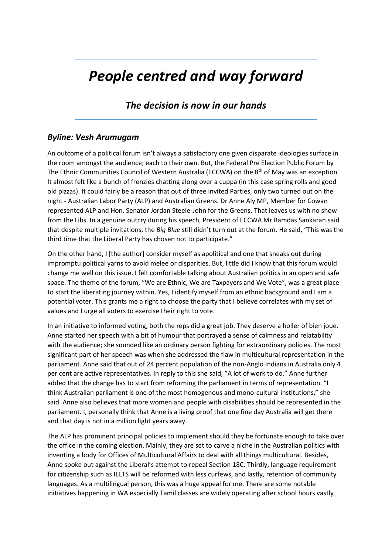## *People centred and way forward*

## *The decision is now in our hands*

## *Byline: Vesh Arumugam*

An outcome of a political forum isn't always a satisfactory one given disparate ideologies surface in the room amongst the audience; each to their own. But, the Federal Pre Election Public Forum by The Ethnic Communities Council of Western Australia (ECCWA) on the 8<sup>th</sup> of May was an exception. It almost felt like a bunch of frenzies chatting along over a cuppa (in this case spring rolls and good old pizzas). It could fairly be a reason that out of three invited Parties, only two turned out on the night - Australian Labor Party (ALP) and Australian Greens. Dr Anne Aly MP, Member for Cowan represented ALP and Hon. Senator Jordan Steele-John for the Greens. That leaves us with no show from the Libs. In a genuine outcry during his speech, President of ECCWA Mr Ramdas Sankaran said that despite multiple invitations, the *Big Blue* still didn't turn out at the forum. He said, "This was the third time that the Liberal Party has chosen not to participate."

On the other hand, I [the author] consider myself as apolitical and one that sneaks out during impromptu political yarns to avoid melee or disparities. But, little did I know that this forum would change me well on this issue. I felt comfortable talking about Australian politics in an open and safe space. The theme of the forum, "We are Ethnic, We are Taxpayers and We Vote", was a great place to start the liberating journey within. Yes, I identify myself from an ethnic background and I am a potential voter. This grants me a right to choose the party that I believe correlates with my set of values and I urge all voters to exercise their right to vote.

In an initiative to informed voting, both the reps did a great job. They deserve a holler of bien joue. Anne started her speech with a bit of humour that portrayed a sense of calmness and relatability with the audience; she sounded like an ordinary person fighting for extraordinary policies. The most significant part of her speech was when she addressed the flaw in multicultural representation in the parliament. Anne said that out of 24 percent population of the non-Anglo Indians in Australia only 4 per cent are active representatives. In reply to this she said, "A lot of work to do." Anne further added that the change has to start from reforming the parliament in terms of representation. "I think Australian parliament is one of the most homogenous and mono-cultural institutions," she said. Anne also believes that more women and people with disabilities should be represented in the parliament. I, personally think that Anne is a living proof that one fine day Australia will get there and that day is not in a million light years away.

The ALP has prominent principal policies to implement should they be fortunate enough to take over the office in the coming election. Mainly, they are set to carve a niche in the Australian politics with inventing a body for Offices of Multicultural Affairs to deal with all things multicultural. Besides, Anne spoke out against the Liberal's attempt to repeal Section 18C. Thirdly, language requirement for citizenship such as IELTS will be reformed with less curfews, and lastly, retention of community languages. As a multilingual person, this was a huge appeal for me. There are some notable initiatives happening in WA especially Tamil classes are widely operating after school hours vastly